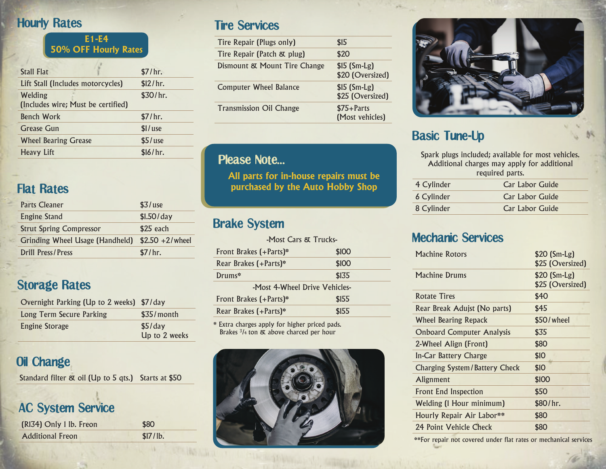#### Hourly Rates

**E1-E4 50% OFF Hourly Rates**

| <b>Stall Flat</b>                             | \$7/hr.   |
|-----------------------------------------------|-----------|
| Lift Stall (Includes motorcycles)             | \$12/hr.  |
| Welding<br>(Includes wire; Must be certified) | \$30/hr.  |
|                                               |           |
| <b>Bench Work</b>                             | \$7/hr.   |
| <b>Grease Gun</b>                             | $$1/$ use |
| <b>Wheel Bearing Grease</b>                   | $$5/$ use |

# **Flat Rates**

| <b>Parts Cleaner</b>            | $$3/$ use          |
|---------------------------------|--------------------|
| <b>Engine Stand</b>             | \$1.50/day         |
| <b>Strut Spring Compressor</b>  | $$25$ each         |
| Grinding Wheel Usage (Handheld) | $$2.50 + 2$ /wheel |
| <b>Drill Press/Press</b>        | \$7/hr.            |

# Storage Rates

| Overnight Parking (Up to 2 weeks) \$7/day |                          |
|-------------------------------------------|--------------------------|
| Long Term Secure Parking                  | $$35/m$ onth             |
| <b>Engine Storage</b>                     | \$5/day<br>Up to 2 weeks |

# Oil Change

Standard filter & oil (Up to 5 qts.) Starts at \$50

# AC System Service

| (RI34) Only 1 lb. Freon | \$80     |
|-------------------------|----------|
| <b>Additional Freon</b> | \$17/1b. |

### Tire Services

| Tire Repair (Plugs only)       | \$15                              |
|--------------------------------|-----------------------------------|
| Tire Repair (Patch & plug)     | \$20                              |
| Dismount & Mount Tire Change   | $$15$ (Sm-Lg)<br>\$20 (Oversized) |
| <b>Computer Wheel Balance</b>  | $$15$ (Sm-Lg)<br>\$25 (Oversized) |
| <b>Transmission Oil Change</b> | $$75+Parts$<br>(Most vehicles)    |

#### Please Note...

**All parts for in-house repairs must be purchased by the Auto Hobby Shop**

### Brake System

| -Most Cars & Trucks-          |       |  |
|-------------------------------|-------|--|
| Front Brakes $(+$ Parts)*     | \$100 |  |
| Rear Brakes $(+$ Parts)*      | \$100 |  |
| $Drums*$                      | \$135 |  |
| -Most 4-Wheel Drive Vehicles- |       |  |
| Front Brakes $(+$ Parts)*     | \$155 |  |
| Rear Brakes $(+$ Parts)*      | \$155 |  |

\* Extra charges apply for higher priced pads. Brakes <sup>3</sup>/<sub>4</sub> ton & above charced per hour





# Basic Tune-Up

Spark plugs included; available for most vehicles. Additional charges may apply for additional required parts.

| 4 Cylinder | Car Labor Guide |
|------------|-----------------|
| 6 Cylinder | Car Labor Guide |
| 8 Cylinder | Car Labor Guide |

#### Mechanic Services

| <b>Machine Rotors</b>                | $$20 (Sm-Lg)$<br>\$25 (Oversized) |
|--------------------------------------|-----------------------------------|
| <b>Machine Drums</b>                 | $$20 (Sm-Lg)$<br>\$25 (Oversized) |
| <b>Rotate Tires</b>                  | \$40                              |
| Rear Break Adujst (No parts)         | \$45                              |
| <b>Wheel Bearing Repack</b>          | \$50/wheel                        |
| <b>Onboard Computer Analysis</b>     | \$35                              |
| 2-Wheel Align (Front)                | \$80                              |
| In-Car Battery Charge                | \$10                              |
| <b>Charging System/Battery Check</b> | \$10                              |
| <b>Alignment</b>                     | \$100                             |
| <b>Front End Inspection</b>          | \$50                              |
| <b>Welding (I Hour minimum)</b>      | \$80/hr.                          |
| Hourly Repair Air Labor**            | \$80                              |
| 24 Point Vehicle Check               | \$80                              |

\*\*For repair not covered under flat rates or mechanical services